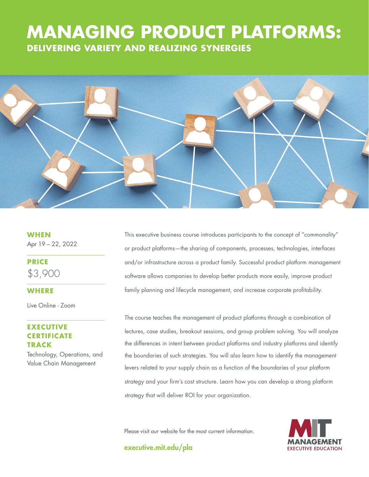# **THE GOOD JOBS DELIVERING VARIETY AND REALIZING SYNERGIES MANAGING PRODUCT PLATFORMS:**



**WHEN** Apr 19 – 22, 2022

**PRICE** \$3,900

### **WHERE**

Live Online - Zoom

## **EXECUTIVE CERTIFICATE TRACK**

Technology, Operations, and Value Chain Management

This executive business course introduces participants to the concept of "commonality" or product platforms—the sharing of components, processes, technologies, interfaces and/or infrastructure across a product family. Successful product platform management software allows companies to develop better products more easily, improve product family planning and lifecycle management, and increase corporate profitability.

The course teaches the management of product platforms through a combination of lectures, case studies, breakout sessions, and group problem solving. You will analyze the differences in intent between product platforms and industry platforms and identify the boundaries of such strategies. You will also learn how to identify the management levers related to your supply chain as a function of the boundaries of your platform strategy and your firm's cost structure. Learn how you can develop a strong platform strategy that will deliver ROI for your organization.

Please visit our website for the most current information.

executive.mit.edu/pla